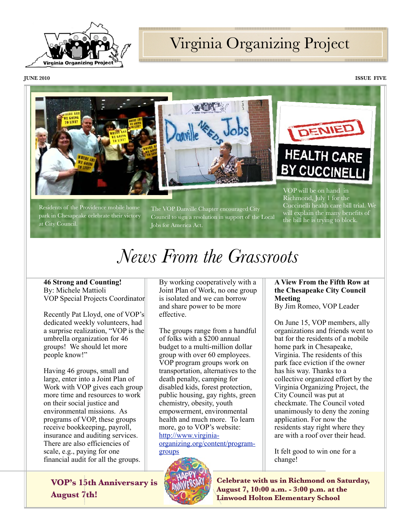

### Virginia Organizing Project

**JUNE 2010 ISSUE FIVE**





Residents of the Providence mobile home park in Chesapeake celebrate their victory at City Council.

The VOP Danville Chapter encouraged City Council to sign a resolution in support of the Local Jobs for America Act.

VOP will be on hand in Richmond, July 1 for the Cuccinelli health care bill trial. We will explain the many benefits of the bill he is trying to block.

# *News From the Grassroots*

#### **46 Strong and Counting!** By: Michele Mattioli VOP Special Projects Coordinator

Recently Pat Lloyd, one of VOP's dedicated weekly volunteers, had a surprise realization, "VOP is the umbrella organization for 46 groups! We should let more people know!"

Having 46 groups, small and large, enter into a Joint Plan of Work with VOP gives each group more time and resources to work on their social justice and environmental missions. As programs of VOP, these groups receive bookkeeping, payroll, insurance and auditing services. There are also efficiencies of scale, e.g., paying for one financial audit for all the groups.

**VOP's 15th Anniversary is August 7th!**

By working cooperatively with a Joint Plan of Work, no one group is isolated and we can borrow and share power to be more effective.

The groups range from a handful of folks with a \$200 annual budget to a multi-million dollar group with over 60 employees. VOP program groups work on transportation, alternatives to the death penalty, camping for disabled kids, forest protection, public housing, gay rights, green chemistry, obesity, youth empowerment, environmental health and much more. To learn more, go to VOP's website: [http://www.virginia](http://www.virginia-organizing.org/content/program-groups)[organizing.org/content/program](http://www.virginia-organizing.org/content/program-groups)[groups](http://www.virginia-organizing.org/content/program-groups)



**A View From the Fifth Row at the Chesapeake City Council Meeting**

By Jim Romeo, VOP Leader

On June 15, VOP members, ally organizations and friends went to bat for the residents of a mobile home park in Chesapeake, Virginia. The residents of this park face eviction if the owner has his way. Thanks to a collective organized effort by the Virginia Organizing Project, the City Council was put at checkmate. The Council voted unanimously to deny the zoning application. For now the residents stay right where they are with a roof over their head.

It felt good to win one for a change!

**Celebrate with us in Richmond on Saturday, August 7, 10:00 a.m. - 3:00 p.m. at the Linwood Holton Elementary School**